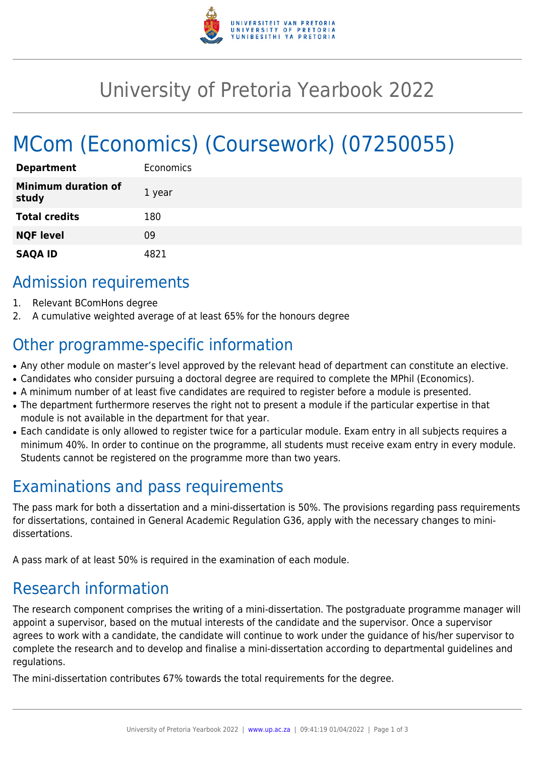

# University of Pretoria Yearbook 2022

# MCom (Economics) (Coursework) (07250055)

| <b>Department</b>                   | Economics |
|-------------------------------------|-----------|
| <b>Minimum duration of</b><br>study | 1 year    |
| <b>Total credits</b>                | 180       |
| <b>NQF level</b>                    | 09        |
| <b>SAQA ID</b>                      | דל או     |

### Admission requirements

- 1. Relevant BComHons degree
- 2. A cumulative weighted average of at least 65% for the honours degree

## Other programme-specific information

- Any other module on master's level approved by the relevant head of department can constitute an elective.
- Candidates who consider pursuing a doctoral degree are required to complete the MPhil (Economics).
- A minimum number of at least five candidates are required to register before a module is presented.
- The department furthermore reserves the right not to present a module if the particular expertise in that module is not available in the department for that year.
- Each candidate is only allowed to register twice for a particular module. Exam entry in all subjects requires a minimum 40%. In order to continue on the programme, all students must receive exam entry in every module. Students cannot be registered on the programme more than two years.

### Examinations and pass requirements

The pass mark for both a dissertation and a mini-dissertation is 50%. The provisions regarding pass requirements for dissertations, contained in General Academic Regulation G36, apply with the necessary changes to minidissertations.

A pass mark of at least 50% is required in the examination of each module.

### Research information

The research component comprises the writing of a mini-dissertation. The postgraduate programme manager will appoint a supervisor, based on the mutual interests of the candidate and the supervisor. Once a supervisor agrees to work with a candidate, the candidate will continue to work under the guidance of his/her supervisor to complete the research and to develop and finalise a mini-dissertation according to departmental guidelines and regulations.

The mini-dissertation contributes 67% towards the total requirements for the degree.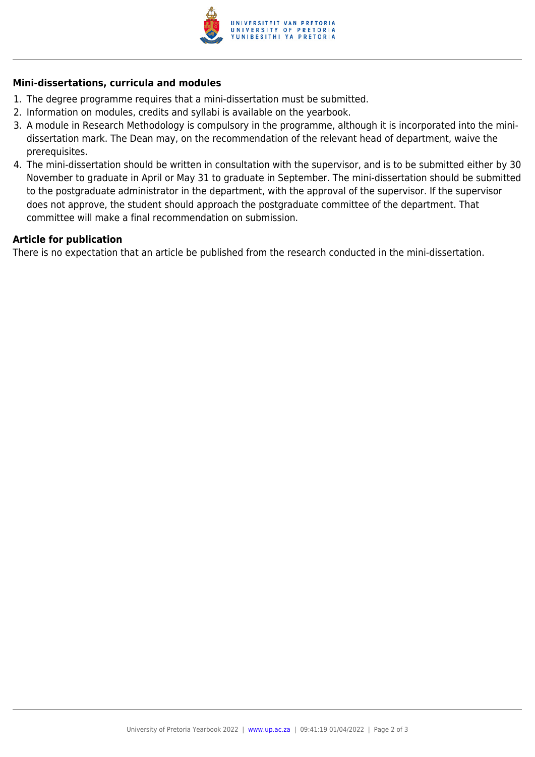

#### **Mini-dissertations, curricula and modules**

- 1. The degree programme requires that a mini-dissertation must be submitted.
- 2. Information on modules, credits and syllabi is available on the yearbook.
- 3. A module in Research Methodology is compulsory in the programme, although it is incorporated into the minidissertation mark. The Dean may, on the recommendation of the relevant head of department, waive the prerequisites.
- 4. The mini-dissertation should be written in consultation with the supervisor, and is to be submitted either by 30 November to graduate in April or May 31 to graduate in September. The mini-dissertation should be submitted to the postgraduate administrator in the department, with the approval of the supervisor. If the supervisor does not approve, the student should approach the postgraduate committee of the department. That committee will make a final recommendation on submission.

#### **Article for publication**

There is no expectation that an article be published from the research conducted in the mini-dissertation.